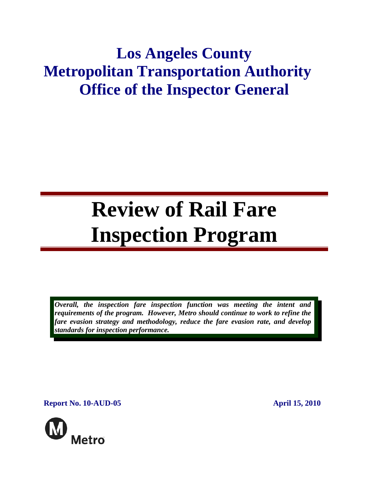# **Los Angeles County Metropolitan Transportation Authority Office of the Inspector General**

# **Review of Rail Fare Inspection Program**

*Overall, the inspection fare inspection function was meeting the intent and requirements of the program. However, Metro should continue to work to refine the fare evasion strategy and methodology, reduce the fare evasion rate, and develop standards for inspection performance.* 

**Report No. 10-AUD-05 April 15, 2010** 

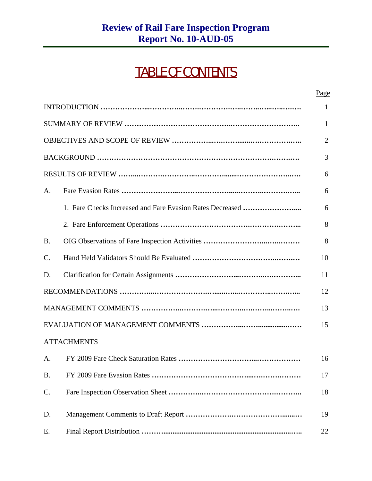# TABLE OF CONTENTS

|           |                                                           | $\mathbf{1}$   |
|-----------|-----------------------------------------------------------|----------------|
|           |                                                           | $\mathbf{1}$   |
|           |                                                           | $\overline{2}$ |
|           |                                                           | 3              |
|           |                                                           | 6              |
| A.        |                                                           | 6              |
|           | 1. Fare Checks Increased and Fare Evasion Rates Decreased | 6              |
|           |                                                           | 8              |
| <b>B.</b> |                                                           | 8              |
| C.        |                                                           | 10             |
| D.        |                                                           | 11             |
|           |                                                           | 12             |
|           |                                                           | 13             |
|           |                                                           | 15             |
|           | <b>ATTACHMENTS</b>                                        |                |
| A.        |                                                           | 16             |
| <b>B.</b> |                                                           | 17             |
| C.        |                                                           | 18             |
| D.        |                                                           | 19             |
| Ε.        |                                                           | 22             |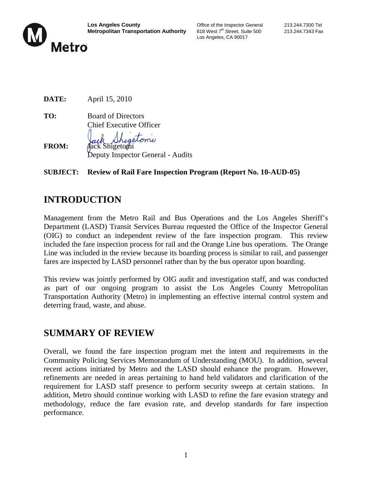

Los Angeles, CA 90017

|              | $1.4$ $\mu$ $1.11$ $\mu$ $\sigma$ $\eta$ $\sigma$ $\sigma$ |
|--------------|------------------------------------------------------------|
| TO:          | <b>Board of Directors</b>                                  |
|              | <b>Chief Executive Officer</b>                             |
|              | Jack Shigetonie                                            |
| <b>FROM:</b> |                                                            |

Deputy Inspector General - Audits

#### **SUBJECT: Review of Rail Fare Inspection Program (Report No. 10-AUD-05)**

# **INTRODUCTION**

**DATE:** April 15, 2010

Management from the Metro Rail and Bus Operations and the Los Angeles Sheriff's Department (LASD) Transit Services Bureau requested the Office of the Inspector General (OIG) to conduct an independent review of the fare inspection program. This review included the fare inspection process for rail and the Orange Line bus operations. The Orange Line was included in the review because its boarding process is similar to rail, and passenger fares are inspected by LASD personnel rather than by the bus operator upon boarding.

This review was jointly performed by OIG audit and investigation staff, and was conducted as part of our ongoing program to assist the Los Angeles County Metropolitan Transportation Authority (Metro) in implementing an effective internal control system and deterring fraud, waste, and abuse.

# **SUMMARY OF REVIEW**

Overall, we found the fare inspection program met the intent and requirements in the Community Policing Services Memorandum of Understanding (MOU). In addition, several recent actions initiated by Metro and the LASD should enhance the program. However, refinements are needed in areas pertaining to hand held validators and clarification of the requirement for LASD staff presence to perform security sweeps at certain stations. In addition, Metro should continue working with LASD to refine the fare evasion strategy and methodology, reduce the fare evasion rate, and develop standards for fare inspection performance.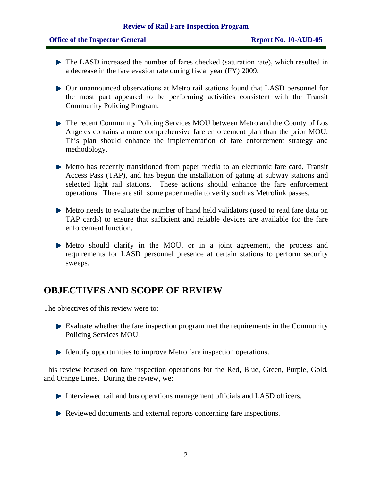#### **Review of Rail Fare Inspection Program**

#### **Office of the Inspector General Report No. 10-AUD-05**

- The LASD increased the number of fares checked (saturation rate), which resulted in a decrease in the fare evasion rate during fiscal year (FY) 2009.
- Our unannounced observations at Metro rail stations found that LASD personnel for the most part appeared to be performing activities consistent with the Transit Community Policing Program.
- The recent Community Policing Services MOU between Metro and the County of Los Angeles contains a more comprehensive fare enforcement plan than the prior MOU. This plan should enhance the implementation of fare enforcement strategy and methodology.
- Metro has recently transitioned from paper media to an electronic fare card, Transit Access Pass (TAP), and has begun the installation of gating at subway stations and selected light rail stations. These actions should enhance the fare enforcement operations. There are still some paper media to verify such as Metrolink passes.
- Metro needs to evaluate the number of hand held validators (used to read fare data on TAP cards) to ensure that sufficient and reliable devices are available for the fare enforcement function.
- Metro should clarify in the MOU, or in a joint agreement, the process and requirements for LASD personnel presence at certain stations to perform security sweeps.

# **OBJECTIVES AND SCOPE OF REVIEW**

The objectives of this review were to:

- Evaluate whether the fare inspection program met the requirements in the Community Policing Services MOU.
- ▶ Identify opportunities to improve Metro fare inspection operations.

This review focused on fare inspection operations for the Red, Blue, Green, Purple, Gold, and Orange Lines. During the review, we:

- $\blacktriangleright$  Interviewed rail and bus operations management officials and LASD officers.
- Reviewed documents and external reports concerning fare inspections.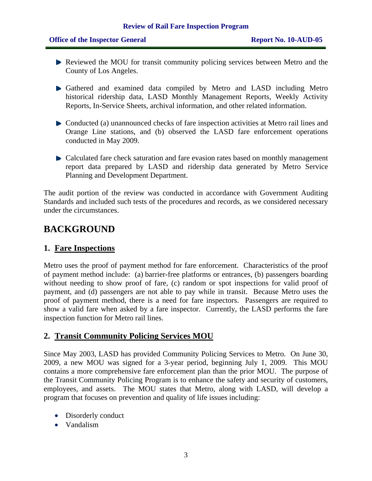- **Reviewed the MOU for transit community policing services between Metro and the** County of Los Angeles.
- Gathered and examined data compiled by Metro and LASD including Metro historical ridership data, LASD Monthly Management Reports, Weekly Activity Reports, In-Service Sheets, archival information, and other related information.
- Conducted (a) unannounced checks of fare inspection activities at Metro rail lines and Orange Line stations, and (b) observed the LASD fare enforcement operations conducted in May 2009.
- Calculated fare check saturation and fare evasion rates based on monthly management report data prepared by LASD and ridership data generated by Metro Service Planning and Development Department.

The audit portion of the review was conducted in accordance with Government Auditing Standards and included such tests of the procedures and records, as we considered necessary under the circumstances.

# **BACKGROUND**

#### **1. Fare Inspections**

Metro uses the proof of payment method for fare enforcement. Characteristics of the proof of payment method include: (a) barrier-free platforms or entrances, (b) passengers boarding without needing to show proof of fare, (c) random or spot inspections for valid proof of payment, and (d) passengers are not able to pay while in transit. Because Metro uses the proof of payment method, there is a need for fare inspectors. Passengers are required to show a valid fare when asked by a fare inspector. Currently, the LASD performs the fare inspection function for Metro rail lines.

#### **2. Transit Community Policing Services MOU**

Since May 2003, LASD has provided Community Policing Services to Metro. On June 30, 2009, a new MOU was signed for a 3-year period, beginning July 1, 2009. This MOU contains a more comprehensive fare enforcement plan than the prior MOU. The purpose of the Transit Community Policing Program is to enhance the safety and security of customers, employees, and assets. The MOU states that Metro, along with LASD, will develop a program that focuses on prevention and quality of life issues including:

- Disorderly conduct
- Vandalism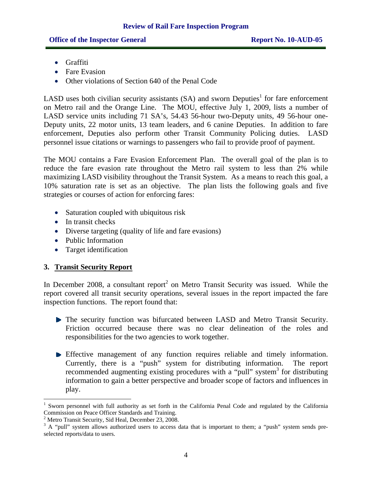- Graffiti
- Fare Evasion
- Other violations of Section 640 of the Penal Code

LASD uses both civilian security assistants  $(SA)$  and sworn Deputies<sup>1</sup> for fare enforcement on Metro rail and the Orange Line. The MOU, effective July 1, 2009, lists a number of LASD service units including 71 SA's, 54.43 56-hour two-Deputy units, 49 56-hour one-Deputy units, 22 motor units, 13 team leaders, and 6 canine Deputies. In addition to fare enforcement, Deputies also perform other Transit Community Policing duties. LASD personnel issue citations or warnings to passengers who fail to provide proof of payment.

The MOU contains a Fare Evasion Enforcement Plan. The overall goal of the plan is to reduce the fare evasion rate throughout the Metro rail system to less than 2% while maximizing LASD visibility throughout the Transit System. As a means to reach this goal, a 10% saturation rate is set as an objective. The plan lists the following goals and five strategies or courses of action for enforcing fares:

- Saturation coupled with ubiquitous risk
- In transit checks
- Diverse targeting (quality of life and fare evasions)
- Public Information
- Target identification

#### **3. Transit Security Report**

 $\overline{a}$ 

In December 2008, a consultant report<sup>2</sup> on Metro Transit Security was issued. While the report covered all transit security operations, several issues in the report impacted the fare inspection functions. The report found that:

- The security function was bifurcated between LASD and Metro Transit Security. Friction occurred because there was no clear delineation of the roles and responsibilities for the two agencies to work together.
- Effective management of any function requires reliable and timely information. Currently, there is a "push" system for distributing information. The report recommended augmenting existing procedures with a "pull" system<sup>3</sup> for distributing information to gain a better perspective and broader scope of factors and influences in play.

<sup>&</sup>lt;sup>1</sup> Sworn personnel with full authority as set forth in the California Penal Code and regulated by the California Commission on Peace Officer Standards and Training. 2

<sup>&</sup>lt;sup>2</sup> Metro Transit Security, Sid Heal, December 23, 2008.

 $3$  A "pull" system allows authorized users to access data that is important to them; a "push" system sends preselected reports/data to users.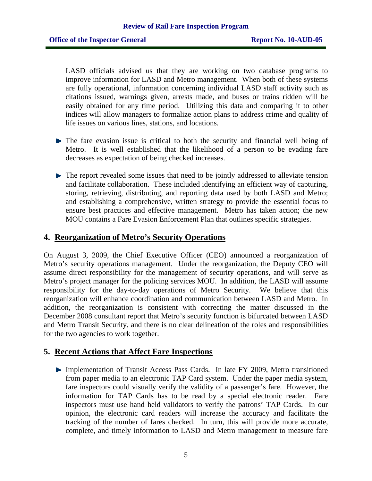LASD officials advised us that they are working on two database programs to improve information for LASD and Metro management. When both of these systems are fully operational, information concerning individual LASD staff activity such as citations issued, warnings given, arrests made, and buses or trains ridden will be easily obtained for any time period. Utilizing this data and comparing it to other indices will allow managers to formalize action plans to address crime and quality of life issues on various lines, stations, and locations.

- The fare evasion issue is critical to both the security and financial well being of Metro. It is well established that the likelihood of a person to be evading fare decreases as expectation of being checked increases.
- The report revealed some issues that need to be jointly addressed to alleviate tension and facilitate collaboration. These included identifying an efficient way of capturing, storing, retrieving, distributing, and reporting data used by both LASD and Metro; and establishing a comprehensive, written strategy to provide the essential focus to ensure best practices and effective management. Metro has taken action; the new MOU contains a Fare Evasion Enforcement Plan that outlines specific strategies.

#### **4. Reorganization of Metro's Security Operations**

On August 3, 2009, the Chief Executive Officer (CEO) announced a reorganization of Metro's security operations management. Under the reorganization, the Deputy CEO will assume direct responsibility for the management of security operations, and will serve as Metro's project manager for the policing services MOU. In addition, the LASD will assume responsibility for the day-to-day operations of Metro Security. We believe that this reorganization will enhance coordination and communication between LASD and Metro. In addition, the reorganization is consistent with correcting the matter discussed in the December 2008 consultant report that Metro's security function is bifurcated between LASD and Metro Transit Security, and there is no clear delineation of the roles and responsibilities for the two agencies to work together.

#### **5. Recent Actions that Affect Fare Inspections**

Implementation of Transit Access Pass Cards. In late FY 2009, Metro transitioned from paper media to an electronic TAP Card system. Under the paper media system, fare inspectors could visually verify the validity of a passenger's fare. However, the information for TAP Cards has to be read by a special electronic reader. Fare inspectors must use hand held validators to verify the patrons' TAP Cards. In our opinion, the electronic card readers will increase the accuracy and facilitate the tracking of the number of fares checked. In turn, this will provide more accurate, complete, and timely information to LASD and Metro management to measure fare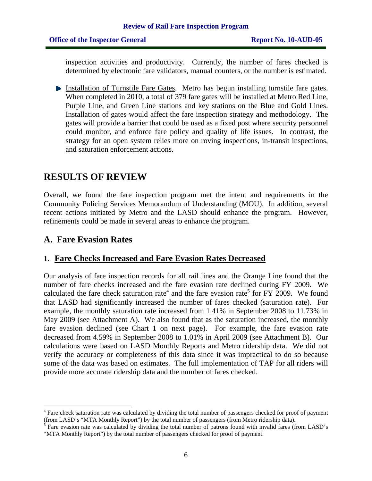inspection activities and productivity. Currently, the number of fares checked is determined by electronic fare validators, manual counters, or the number is estimated.

Installation of Turnstile Fare Gates. Metro has begun installing turnstile fare gates. When completed in 2010, a total of 379 fare gates will be installed at Metro Red Line, Purple Line, and Green Line stations and key stations on the Blue and Gold Lines. Installation of gates would affect the fare inspection strategy and methodology. The gates will provide a barrier that could be used as a fixed post where security personnel could monitor, and enforce fare policy and quality of life issues. In contrast, the strategy for an open system relies more on roving inspections, in-transit inspections, and saturation enforcement actions.

# **RESULTS OF REVIEW**

Overall, we found the fare inspection program met the intent and requirements in the Community Policing Services Memorandum of Understanding (MOU). In addition, several recent actions initiated by Metro and the LASD should enhance the program. However, refinements could be made in several areas to enhance the program.

#### **A. Fare Evasion Rates**

 $\overline{a}$ 

#### **1. Fare Checks Increased and Fare Evasion Rates Decreased**

Our analysis of fare inspection records for all rail lines and the Orange Line found that the number of fare checks increased and the fare evasion rate declined during FY 2009. We calculated the fare check saturation rate<sup>4</sup> and the fare evasion rate<sup>5</sup> for FY 2009. We found that LASD had significantly increased the number of fares checked (saturation rate). For example, the monthly saturation rate increased from 1.41% in September 2008 to 11.73% in May 2009 (see Attachment A). We also found that as the saturation increased, the monthly fare evasion declined (see Chart 1 on next page). For example, the fare evasion rate decreased from 4.59% in September 2008 to 1.01% in April 2009 (see Attachment B). Our calculations were based on LASD Monthly Reports and Metro ridership data. We did not verify the accuracy or completeness of this data since it was impractical to do so because some of the data was based on estimates. The full implementation of TAP for all riders will provide more accurate ridership data and the number of fares checked.

<sup>&</sup>lt;sup>4</sup> Fare check saturation rate was calculated by dividing the total number of passengers checked for proof of payment (from LASD's "MTA Monthly Report") by the total number of passengers (from Metro ridership data).<br><sup>5</sup> Fare evasion rate was calculated by dividing the total number of patrons found with invalid fares (from LASD's

<sup>&</sup>quot;MTA Monthly Report") by the total number of passengers checked for proof of payment.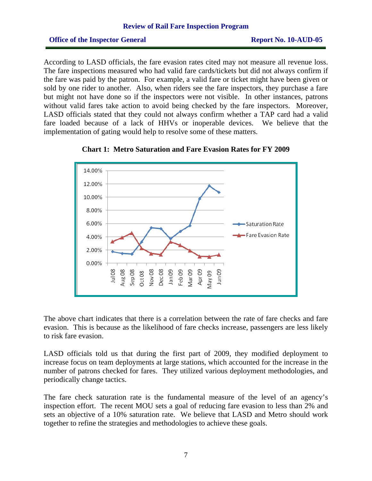#### **Office of the Inspector General Report No. 10-AUD-05**

According to LASD officials, the fare evasion rates cited may not measure all revenue loss. The fare inspections measured who had valid fare cards/tickets but did not always confirm if the fare was paid by the patron. For example, a valid fare or ticket might have been given or sold by one rider to another. Also, when riders see the fare inspectors, they purchase a fare but might not have done so if the inspectors were not visible. In other instances, patrons without valid fares take action to avoid being checked by the fare inspectors. Moreover, LASD officials stated that they could not always confirm whether a TAP card had a valid fare loaded because of a lack of HHVs or inoperable devices. We believe that the implementation of gating would help to resolve some of these matters.





The above chart indicates that there is a correlation between the rate of fare checks and fare evasion. This is because as the likelihood of fare checks increase, passengers are less likely to risk fare evasion.

LASD officials told us that during the first part of 2009, they modified deployment to increase focus on team deployments at large stations, which accounted for the increase in the number of patrons checked for fares. They utilized various deployment methodologies, and periodically change tactics.

The fare check saturation rate is the fundamental measure of the level of an agency's inspection effort. The recent MOU sets a goal of reducing fare evasion to less than 2% and sets an objective of a 10% saturation rate. We believe that LASD and Metro should work together to refine the strategies and methodologies to achieve these goals.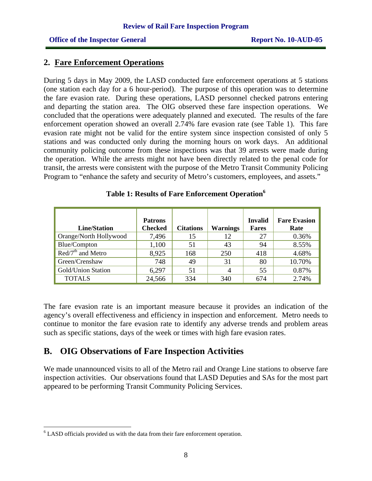#### **2. Fare Enforcement Operations**

During 5 days in May 2009, the LASD conducted fare enforcement operations at 5 stations (one station each day for a 6 hour-period). The purpose of this operation was to determine the fare evasion rate. During these operations, LASD personnel checked patrons entering and departing the station area. The OIG observed these fare inspection operations. We concluded that the operations were adequately planned and executed. The results of the fare enforcement operation showed an overall 2.74% fare evasion rate (see Table 1). This fare evasion rate might not be valid for the entire system since inspection consisted of only 5 stations and was conducted only during the morning hours on work days. An additional community policing outcome from these inspections was that 39 arrests were made during the operation. While the arrests might not have been directly related to the penal code for transit, the arrests were consistent with the purpose of the Metro Transit Community Policing Program to "enhance the safety and security of Metro's customers, employees, and assets."

| <b>Line/Station</b>                             | <b>Patrons</b><br><b>Checked</b> | <b>Citations</b> | <b>Warnings</b> | <b>Invalid</b><br><b>Fares</b> | <b>Fare Evasion</b><br>Rate |
|-------------------------------------------------|----------------------------------|------------------|-----------------|--------------------------------|-----------------------------|
| Orange/North Hollywood                          | 7,496                            | 15               | 12              | 27                             | 0.36%                       |
| Blue/Compton                                    | 1,100                            | 51               | 43              | 94                             | 8.55%                       |
| $\overline{\text{Red}/7}^{\text{th}}$ and Metro | 8,925                            | 168              | 250             | 418                            | 4.68%                       |
| Green/Crenshaw                                  | 748                              | 49               | 31              | 80                             | 10.70%                      |
| <b>Gold/Union Station</b>                       | 6,297                            | 51               | $\overline{4}$  | 55                             | 0.87%                       |
| <b>TOTALS</b>                                   | 24,566                           | 334              | 340             | 674                            | 2.74%                       |

**Table 1: Results of Fare Enforcement Operation<sup>6</sup>**

The fare evasion rate is an important measure because it provides an indication of the agency's overall effectiveness and efficiency in inspection and enforcement. Metro needs to continue to monitor the fare evasion rate to identify any adverse trends and problem areas such as specific stations, days of the week or times with high fare evasion rates.

### **B. OIG Observations of Fare Inspection Activities**

We made unannounced visits to all of the Metro rail and Orange Line stations to observe fare inspection activities. Our observations found that LASD Deputies and SAs for the most part appeared to be performing Transit Community Policing Services.

 $\overline{a}$ 

 $6$  LASD officials provided us with the data from their fare enforcement operation.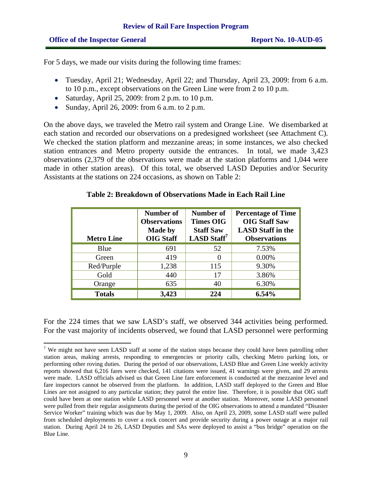For 5 days, we made our visits during the following time frames:

- Tuesday, April 21; Wednesday, April 22; and Thursday, April 23, 2009: from 6 a.m. to 10 p.m., except observations on the Green Line were from 2 to 10 p.m.
- Saturday, April 25, 2009: from 2 p.m. to 10 p.m.
- Sunday, April 26, 2009: from 6 a.m. to 2 p.m.

On the above days, we traveled the Metro rail system and Orange Line. We disembarked at each station and recorded our observations on a predesigned worksheet (see Attachment C). We checked the station platform and mezzanine areas; in some instances, we also checked station entrances and Metro property outside the entrances. In total, we made 3,423 observations (2,379 of the observations were made at the station platforms and 1,044 were made in other station areas). Of this total, we observed LASD Deputies and/or Security Assistants at the stations on 224 occasions, as shown on Table 2:

| <b>Metro Line</b> | Number of<br><b>Observations</b><br><b>Made by</b><br><b>OIG Staff</b> | Number of<br><b>Times OIG</b><br><b>Staff Saw</b><br>LASD Staff <sup>7</sup> | <b>Percentage of Time</b><br><b>OIG Staff Saw</b><br><b>LASD</b> Staff in the<br><b>Observations</b> |
|-------------------|------------------------------------------------------------------------|------------------------------------------------------------------------------|------------------------------------------------------------------------------------------------------|
| Blue              | 691                                                                    | 52                                                                           | 7.53%                                                                                                |
| Green             | 419                                                                    | 0                                                                            | 0.00%                                                                                                |
| Red/Purple        | 1,238                                                                  | 115                                                                          | 9.30%                                                                                                |
| Gold              | 440                                                                    | 17                                                                           | 3.86%                                                                                                |
| Orange            | 635                                                                    | 40                                                                           | 6.30%                                                                                                |
| <b>Totals</b>     | 3,423                                                                  | 224                                                                          | 6.54%                                                                                                |

#### **Table 2: Breakdown of Observations Made in Each Rail Line**

For the 224 times that we saw LASD's staff, we observed 344 activities being performed. For the vast majority of incidents observed, we found that LASD personnel were performing

 $\overline{a}$ <sup>7</sup> We might not have seen LASD staff at some of the station stops because they could have been patrolling other station areas, making arrests, responding to emergencies or priority calls, checking Metro parking lots, or performing other roving duties. During the period of our observations, LASD Blue and Green Line weekly activity reports showed that 6,216 fares were checked, 141 citations were issued, 41 warnings were given, and 29 arrests were made. LASD officials advised us that Green Line fare enforcement is conducted at the mezzanine level and fare inspectors cannot be observed from the platform. In addition, LASD staff deployed to the Green and Blue Lines are not assigned to any particular station; they patrol the entire line. Therefore, it is possible that OIG staff could have been at one station while LASD personnel were at another station. Moreover, some LASD personnel were pulled from their regular assignments during the period of the OIG observations to attend a mandated "Disaster Service Worker" training which was due by May 1, 2009. Also, on April 23, 2009, some LASD staff were pulled from scheduled deployments to cover a rock concert and provide security during a power outage at a major rail station. During April 24 to 26, LASD Deputies and SAs were deployed to assist a "bus bridge" operation on the Blue Line.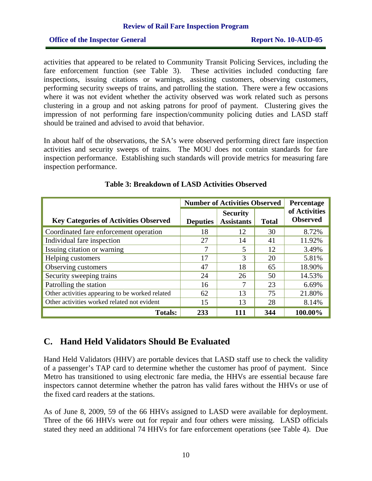#### **Office of the Inspector General Report No. 10-AUD-05**

activities that appeared to be related to Community Transit Policing Services, including the fare enforcement function (see Table 3). These activities included conducting fare inspections, issuing citations or warnings, assisting customers, observing customers, performing security sweeps of trains, and patrolling the station. There were a few occasions where it was not evident whether the activity observed was work related such as persons clustering in a group and not asking patrons for proof of payment. Clustering gives the impression of not performing fare inspection/community policing duties and LASD staff should be trained and advised to avoid that behavior.

In about half of the observations, the SA's were observed performing direct fare inspection activities and security sweeps of trains. The MOU does not contain standards for fare inspection performance. Establishing such standards will provide metrics for measuring fare inspection performance.

|                                                 | <b>Number of Activities Observed</b> |                                      |              | Percentage                       |
|-------------------------------------------------|--------------------------------------|--------------------------------------|--------------|----------------------------------|
| <b>Key Categories of Activities Observed</b>    | <b>Deputies</b>                      | <b>Security</b><br><b>Assistants</b> | <b>Total</b> | of Activities<br><b>Observed</b> |
| Coordinated fare enforcement operation          | 18                                   | 12                                   | 30           | 8.72%                            |
| Individual fare inspection                      | 27                                   | 14                                   | 41           | 11.92%                           |
| Issuing citation or warning                     | 7                                    | 5                                    | 12           | 3.49%                            |
| Helping customers                               | 17                                   | 3                                    | 20           | 5.81%                            |
| Observing customers                             | 47                                   | 18                                   | 65           | 18.90%                           |
| Security sweeping trains                        | 24                                   | 26                                   | 50           | 14.53%                           |
| Patrolling the station                          | 16                                   | 7                                    | 23           | 6.69%                            |
| Other activities appearing to be worked related | 62                                   | 13                                   | 75           | 21.80%                           |
| Other activities worked related not evident     | 15                                   | 13                                   | 28           | 8.14%                            |
| <b>Totals:</b>                                  | 233                                  | 111                                  | 344          | 100.00%                          |

#### **Table 3: Breakdown of LASD Activities Observed**

#### **C. Hand Held Validators Should Be Evaluated**

Hand Held Validators (HHV) are portable devices that LASD staff use to check the validity of a passenger's TAP card to determine whether the customer has proof of payment. Since Metro has transitioned to using electronic fare media, the HHVs are essential because fare inspectors cannot determine whether the patron has valid fares without the HHVs or use of the fixed card readers at the stations.

As of June 8, 2009, 59 of the 66 HHVs assigned to LASD were available for deployment. Three of the 66 HHVs were out for repair and four others were missing. LASD officials stated they need an additional 74 HHVs for fare enforcement operations (see Table 4). Due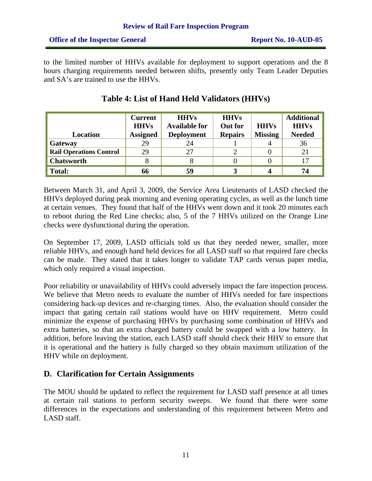to the limited number of HHVs available for deployment to support operations and the 8 hours charging requirements needed between shifts, presently only Team Leader Deputies and SA's are trained to use the HHVs.

| Location                       | <b>Current</b><br><b>HHVs</b><br><b>Assigned</b> | <b>HHVs</b><br><b>Available for</b><br><b>Deployment</b> | <b>HHVs</b><br><b>Out for</b><br><b>Repairs</b> | <b>HHVs</b><br><b>Missing</b> | <b>Additional</b><br><b>HHVs</b><br><b>Needed</b> |
|--------------------------------|--------------------------------------------------|----------------------------------------------------------|-------------------------------------------------|-------------------------------|---------------------------------------------------|
| Gateway                        | 29                                               | 24                                                       |                                                 |                               | 36                                                |
| <b>Rail Operations Control</b> | 29                                               | 27                                                       |                                                 |                               | 21                                                |
| <b>Chatsworth</b>              |                                                  |                                                          |                                                 |                               | 17                                                |
| Total:                         | 66                                               | 59                                                       |                                                 |                               | 74                                                |

# **Table 4: List of Hand Held Validators (HHVs)**

Between March 31, and April 3, 2009, the Service Area Lieutenants of LASD checked the HHVs deployed during peak morning and evening operating cycles, as well as the lunch time at certain venues. They found that half of the HHVs went down and it took 20 minutes each to reboot during the Red Line checks; also, 5 of the 7 HHVs utilized on the Orange Line checks were dysfunctional during the operation.

On September 17, 2009, LASD officials told us that they needed newer, smaller, more reliable HHVs, and enough hand held devices for all LASD staff so that required fare checks can be made. They stated that it takes longer to validate TAP cards versus paper media, which only required a visual inspection.

Poor reliability or unavailability of HHVs could adversely impact the fare inspection process. We believe that Metro needs to evaluate the number of HHVs needed for fare inspections considering back-up devices and re-charging times. Also, the evaluation should consider the impact that gating certain rail stations would have on HHV requirement. Metro could minimize the expense of purchasing HHVs by purchasing some combination of HHVs and extra batteries, so that an extra charged battery could be swapped with a low battery. In addition, before leaving the station, each LASD staff should check their HHV to ensure that it is operational and the battery is fully charged so they obtain maximum utilization of the HHV while on deployment.

### **D. Clarification for Certain Assignments**

The MOU should be updated to reflect the requirement for LASD staff presence at all times at certain rail stations to perform security sweeps. We found that there were some differences in the expectations and understanding of this requirement between Metro and LASD staff.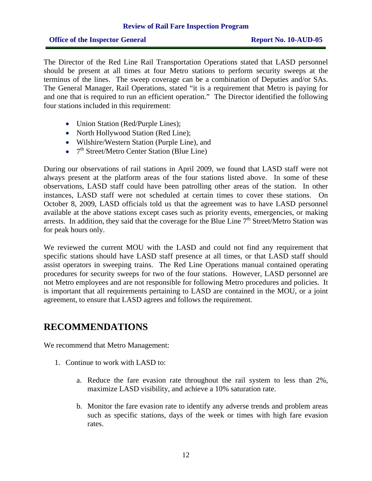#### **Review of Rail Fare Inspection Program**

#### **Office of the Inspector General Report No. 10-AUD-05**

The Director of the Red Line Rail Transportation Operations stated that LASD personnel should be present at all times at four Metro stations to perform security sweeps at the terminus of the lines. The sweep coverage can be a combination of Deputies and/or SAs. The General Manager, Rail Operations, stated "it is a requirement that Metro is paying for and one that is required to run an efficient operation." The Director identified the following four stations included in this requirement:

- Union Station (Red/Purple Lines);
- North Hollywood Station (Red Line);
- Wilshire/Western Station (Purple Line), and
- $7<sup>th</sup> Street/Metro Center Station (Blue Line)$

During our observations of rail stations in April 2009, we found that LASD staff were not always present at the platform areas of the four stations listed above. In some of these observations, LASD staff could have been patrolling other areas of the station. In other instances, LASD staff were not scheduled at certain times to cover these stations. On October 8, 2009, LASD officials told us that the agreement was to have LASD personnel available at the above stations except cases such as priority events, emergencies, or making arrests. In addition, they said that the coverage for the Blue Line  $7<sup>th</sup>$  Street/Metro Station was for peak hours only.

We reviewed the current MOU with the LASD and could not find any requirement that specific stations should have LASD staff presence at all times, or that LASD staff should assist operators in sweeping trains. The Red Line Operations manual contained operating procedures for security sweeps for two of the four stations. However, LASD personnel are not Metro employees and are not responsible for following Metro procedures and policies. It is important that all requirements pertaining to LASD are contained in the MOU, or a joint agreement, to ensure that LASD agrees and follows the requirement.

### **RECOMMENDATIONS**

We recommend that Metro Management:

- 1. Continue to work with LASD to:
	- a. Reduce the fare evasion rate throughout the rail system to less than 2%, maximize LASD visibility, and achieve a 10% saturation rate.
	- b. Monitor the fare evasion rate to identify any adverse trends and problem areas such as specific stations, days of the week or times with high fare evasion rates.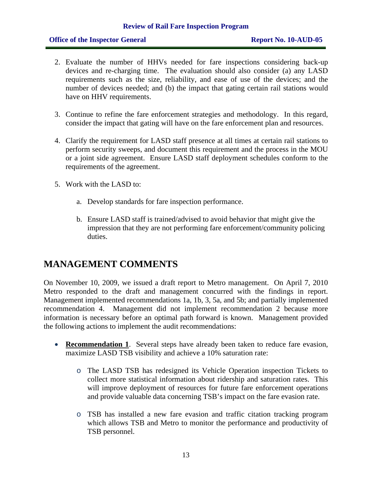#### **Review of Rail Fare Inspection Program**

#### **Office of the Inspector General Report No. 10-AUD-05**

- 2. Evaluate the number of HHVs needed for fare inspections considering back-up devices and re-charging time. The evaluation should also consider (a) any LASD requirements such as the size, reliability, and ease of use of the devices; and the number of devices needed; and (b) the impact that gating certain rail stations would have on HHV requirements.
- 3. Continue to refine the fare enforcement strategies and methodology. In this regard, consider the impact that gating will have on the fare enforcement plan and resources.
- 4. Clarify the requirement for LASD staff presence at all times at certain rail stations to perform security sweeps, and document this requirement and the process in the MOU or a joint side agreement. Ensure LASD staff deployment schedules conform to the requirements of the agreement.
- 5. Work with the LASD to:
	- a. Develop standards for fare inspection performance.
	- b. Ensure LASD staff is trained/advised to avoid behavior that might give the impression that they are not performing fare enforcement/community policing duties.

# **MANAGEMENT COMMENTS**

On November 10, 2009, we issued a draft report to Metro management. On April 7, 2010 Metro responded to the draft and management concurred with the findings in report. Management implemented recommendations 1a, 1b, 3, 5a, and 5b; and partially implemented recommendation 4. Management did not implement recommendation 2 because more information is necessary before an optimal path forward is known. Management provided the following actions to implement the audit recommendations:

- **Recommendation 1**. Several steps have already been taken to reduce fare evasion, maximize LASD TSB visibility and achieve a 10% saturation rate:
	- o The LASD TSB has redesigned its Vehicle Operation inspection Tickets to collect more statistical information about ridership and saturation rates. This will improve deployment of resources for future fare enforcement operations and provide valuable data concerning TSB's impact on the fare evasion rate.
	- o TSB has installed a new fare evasion and traffic citation tracking program which allows TSB and Metro to monitor the performance and productivity of TSB personnel.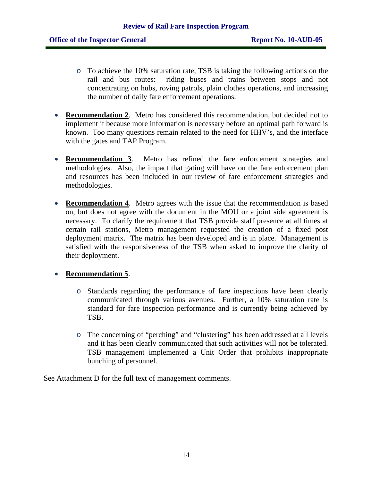- o To achieve the 10% saturation rate, TSB is taking the following actions on the rail and bus routes: riding buses and trains between stops and not concentrating on hubs, roving patrols, plain clothes operations, and increasing the number of daily fare enforcement operations.
- **Recommendation 2**. Metro has considered this recommendation, but decided not to implement it because more information is necessary before an optimal path forward is known. Too many questions remain related to the need for HHV's, and the interface with the gates and TAP Program.
- **Recommendation 3**. Metro has refined the fare enforcement strategies and methodologies. Also, the impact that gating will have on the fare enforcement plan and resources has been included in our review of fare enforcement strategies and methodologies.
- **Recommendation 4**. Metro agrees with the issue that the recommendation is based on, but does not agree with the document in the MOU or a joint side agreement is necessary. To clarify the requirement that TSB provide staff presence at all times at certain rail stations, Metro management requested the creation of a fixed post deployment matrix. The matrix has been developed and is in place. Management is satisfied with the responsiveness of the TSB when asked to improve the clarity of their deployment.

#### • **Recommendation 5**.

- o Standards regarding the performance of fare inspections have been clearly communicated through various avenues. Further, a 10% saturation rate is standard for fare inspection performance and is currently being achieved by TSB.
- o The concerning of "perching" and "clustering" has been addressed at all levels and it has been clearly communicated that such activities will not be tolerated. TSB management implemented a Unit Order that prohibits inappropriate bunching of personnel.

See Attachment D for the full text of management comments.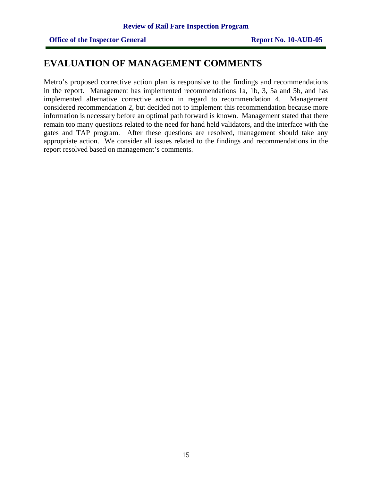# **EVALUATION OF MANAGEMENT COMMENTS**

Metro's proposed corrective action plan is responsive to the findings and recommendations in the report. Management has implemented recommendations 1a, 1b, 3, 5a and 5b, and has implemented alternative corrective action in regard to recommendation 4. Management considered recommendation 2, but decided not to implement this recommendation because more information is necessary before an optimal path forward is known. Management stated that there remain too many questions related to the need for hand held validators, and the interface with the gates and TAP program. After these questions are resolved, management should take any appropriate action. We consider all issues related to the findings and recommendations in the report resolved based on management's comments.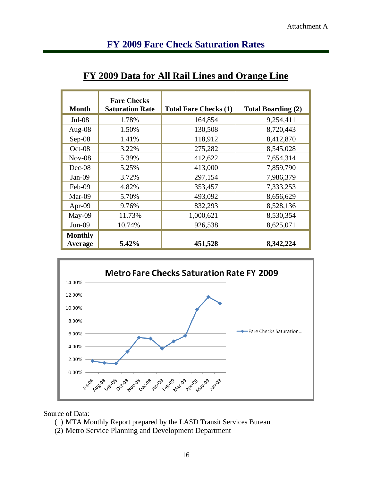# **FY 2009 Fare Check Saturation Rates**

| <b>Month</b>              | <b>Fare Checks</b><br><b>Saturation Rate</b> | <b>Total Fare Checks (1)</b> | <b>Total Boarding (2)</b> |
|---------------------------|----------------------------------------------|------------------------------|---------------------------|
| $Jul-08$                  | 1.78%                                        | 164,854                      | 9,254,411                 |
| Aug- $08$                 | 1.50%                                        | 130,508                      | 8,720,443                 |
| $Sep-08$                  | 1.41%                                        | 118,912                      | 8,412,870                 |
| Oct-08                    | 3.22%                                        | 275,282                      | 8,545,028                 |
| $Nov-08$                  | 5.39%                                        | 412,622                      | 7,654,314                 |
| Dec-08                    | 5.25%                                        | 413,000                      | 7,859,790                 |
| $Jan-09$                  | 3.72%                                        | 297,154                      | 7,986,379                 |
| Feb-09                    | 4.82%                                        | 353,457                      | 7,333,253                 |
| $Mar-09$                  | 5.70%                                        | 493,092                      | 8,656,629                 |
| Apr-09                    | 9.76%                                        | 832,293                      | 8,528,136                 |
| May-09                    | 11.73%                                       | 1,000,621                    | 8,530,354                 |
| $Jun-09$                  | 10.74%                                       | 926,538                      | 8,625,071                 |
| <b>Monthly</b><br>Average | 5.42%                                        | 451,528                      | 8,342,224                 |

# **FY 2009 Data for All Rail Lines and Orange Line**



Source of Data:

- (1) MTA Monthly Report prepared by the LASD Transit Services Bureau
- (2) Metro Service Planning and Development Department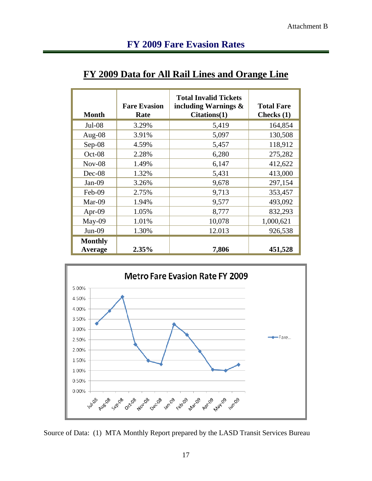# **FY 2009 Fare Evasion Rates**

# **FY 2009 Data for All Rail Lines and Orange Line**

| <b>Month</b>              | <b>Fare Evasion</b><br>Rate | <b>Total Invalid Tickets</b><br>including Warnings $\&$<br>Citations(1) | <b>Total Fare</b><br>Checks $(1)$ |
|---------------------------|-----------------------------|-------------------------------------------------------------------------|-----------------------------------|
| $Jul-08$                  | 3.29%                       | 5,419                                                                   | 164,854                           |
| Aug- $08$                 | 3.91%                       | 5,097                                                                   | 130,508                           |
| Sep-08                    | 4.59%                       | 5,457                                                                   | 118,912                           |
| $Oct-08$                  | 2.28%                       | 6,280                                                                   | 275,282                           |
| $Nov-08$                  | 1.49%                       | 6,147                                                                   | 412,622                           |
| Dec-08                    | 1.32%                       | 5,431                                                                   | 413,000                           |
| $Jan-09$                  | 3.26%                       | 9,678                                                                   | 297,154                           |
| Feb-09                    | 2.75%                       | 9,713                                                                   | 353,457                           |
| Mar-09                    | 1.94%                       | 9,577                                                                   | 493,092                           |
| Apr-09                    | 1.05%                       | 8,777                                                                   | 832,293                           |
| May-09                    | 1.01%                       | 10,078                                                                  | 1,000,621                         |
| $Jun-09$                  | 1.30%                       | 12.013                                                                  | 926,538                           |
| <b>Monthly</b><br>Average | 2.35%                       | 7,806                                                                   | 451,528                           |



Source of Data: (1) MTA Monthly Report prepared by the LASD Transit Services Bureau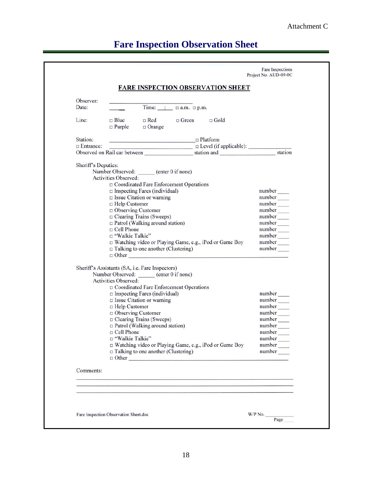# Attachment C

# **Fare Inspection Observation Sheet**

| Observer:<br>Date:  |                                                                                                                     |                                                                                                                                                                                                                                                                                                                                                             |  |                                                          |                                                                                                                                                            |
|---------------------|---------------------------------------------------------------------------------------------------------------------|-------------------------------------------------------------------------------------------------------------------------------------------------------------------------------------------------------------------------------------------------------------------------------------------------------------------------------------------------------------|--|----------------------------------------------------------|------------------------------------------------------------------------------------------------------------------------------------------------------------|
|                     |                                                                                                                     |                                                                                                                                                                                                                                                                                                                                                             |  |                                                          |                                                                                                                                                            |
| Line:               | $\Box$ Blue<br>$\Box$ Purple                                                                                        | $\Box$ Red $\Box$ Green $\Box$ Gold<br>$\Box$ Orange                                                                                                                                                                                                                                                                                                        |  |                                                          |                                                                                                                                                            |
| Station:            |                                                                                                                     | <u>□ Platform</u>                                                                                                                                                                                                                                                                                                                                           |  |                                                          |                                                                                                                                                            |
|                     |                                                                                                                     |                                                                                                                                                                                                                                                                                                                                                             |  |                                                          |                                                                                                                                                            |
|                     |                                                                                                                     |                                                                                                                                                                                                                                                                                                                                                             |  |                                                          |                                                                                                                                                            |
| Sheriff's Deputies: |                                                                                                                     |                                                                                                                                                                                                                                                                                                                                                             |  |                                                          |                                                                                                                                                            |
|                     |                                                                                                                     | Number Observed: ______ (enter 0 if none)                                                                                                                                                                                                                                                                                                                   |  |                                                          |                                                                                                                                                            |
|                     | Activities Observed:                                                                                                |                                                                                                                                                                                                                                                                                                                                                             |  |                                                          |                                                                                                                                                            |
|                     |                                                                                                                     | □ Coordinated Fare Enforcement Operations                                                                                                                                                                                                                                                                                                                   |  |                                                          |                                                                                                                                                            |
|                     |                                                                                                                     | $\Box$ Inspecting Fares (individual)                                                                                                                                                                                                                                                                                                                        |  |                                                          | $number$ <sub>____</sub>                                                                                                                                   |
|                     | □ Help Customer                                                                                                     | $\Box$ Issue Citation or warning                                                                                                                                                                                                                                                                                                                            |  |                                                          | $number$ <sub>____</sub>                                                                                                                                   |
|                     | $\Box$ Observing Customer                                                                                           |                                                                                                                                                                                                                                                                                                                                                             |  |                                                          | number_                                                                                                                                                    |
|                     |                                                                                                                     | □ Clearing Trains (Sweeps)                                                                                                                                                                                                                                                                                                                                  |  |                                                          | number                                                                                                                                                     |
|                     |                                                                                                                     | $\Box$ Patrol (Walking around station)                                                                                                                                                                                                                                                                                                                      |  |                                                          | $number$ <sub>____</sub>                                                                                                                                   |
|                     | $\Box$ Cell Phone                                                                                                   |                                                                                                                                                                                                                                                                                                                                                             |  |                                                          | number                                                                                                                                                     |
|                     | □ "Walkie Talkie"                                                                                                   |                                                                                                                                                                                                                                                                                                                                                             |  |                                                          | $number$ <sub>____</sub>                                                                                                                                   |
|                     |                                                                                                                     | □ Watching video or Playing Game, e.g., iPod or Game Boy                                                                                                                                                                                                                                                                                                    |  |                                                          | $number$ <sub>____</sub>                                                                                                                                   |
|                     |                                                                                                                     | $\Box$ Talking to one another (Clustering)                                                                                                                                                                                                                                                                                                                  |  | $\Box$ Other                                             | number                                                                                                                                                     |
|                     | Activities Observed:<br>$\Box$ Help Customer<br>$\Box$ Observing Customer<br>$\Box$ Cell Phone<br>□ "Walkie Talkie" | Sheriff's Assistants (SA, i.e. Fare Inspectors)<br>Number Observed: ______ (enter 0 if none)<br>□ Coordinated Fare Enforcement Operations<br>$\Box$ Inspecting Fares (individual)<br>$\Box$ Issue Citation or warning<br>□ Clearing Trains (Sweeps)<br>$\Box$ Patrol (Walking around station)<br>$\Box$ Talking to one another (Clustering)<br>$\Box$ Other |  | □ Watching video or Playing Game, e.g., iPod or Game Boy | $number$ <sub>____</sub><br>$number$ <sub>____</sub><br>number<br>number_<br>number____<br>number<br>number<br>number<br>number<br>$number$ <sub>___</sub> |
| Comments:           |                                                                                                                     |                                                                                                                                                                                                                                                                                                                                                             |  |                                                          |                                                                                                                                                            |
|                     |                                                                                                                     |                                                                                                                                                                                                                                                                                                                                                             |  |                                                          |                                                                                                                                                            |
|                     |                                                                                                                     |                                                                                                                                                                                                                                                                                                                                                             |  |                                                          |                                                                                                                                                            |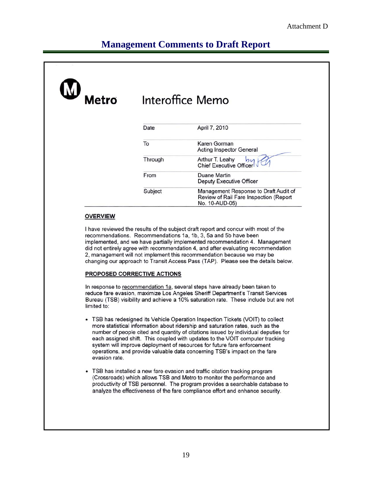# **Management Comments to Draft Report**

| ${\bf M}$<br>Metro |         | Interoffice Memo                                                                                  |
|--------------------|---------|---------------------------------------------------------------------------------------------------|
|                    | Date    | April 7, 2010                                                                                     |
|                    | To      | Karen Gorman<br><b>Acting Inspector General</b>                                                   |
|                    | Through | Arthur T. Leahy<br>$b\mathsf{u}$<br><b>Chief Executive Officer</b>                                |
|                    | From    | Duane Martin<br>Deputy Executive Officer                                                          |
|                    | Subject | Management Response to Draft Audit of<br>Review of Rail Fare Inspection (Report<br>No. 10-AUD-05) |

#### **OVERVIEW**

I have reviewed the results of the subject draft report and concur with most of the recommendations. Recommendations 1a, 1b, 3, 5a and 5b have been implemented, and we have partially implemented recommendation 4. Management did not entirely agree with recommendation 4, and after evaluating recommendation 2, management will not implement this recommendation because we may be changing our approach to Transit Access Pass (TAP). Please see the details below.

#### PROPOSED CORRECTIVE ACTIONS

In response to recommendation 1a, several steps have already been taken to reduce fare evasion, maximize Los Angeles Sheriff Department's Transit Services Bureau (TSB) visibility and achieve a 10% saturation rate. These include but are not limited to:

- TSB has redesigned its Vehicle Operation Inspection Tickets (VOIT) to collect more statistical information about ridership and saturation rates, such as the number of people cited and quantity of citations issued by individual deputies for each assigned shift. This coupled with updates to the VOIT computer tracking system will improve deployment of resources for future fare enforcement operations, and provide valuable data concerning TSB's impact on the fare evasion rate.
- TSB has installed a new fare evasion and traffic citation tracking program (Crossroads) which allows TSB and Metro to monitor the performance and productivity of TSB personnel. The program provides a searchable database to analyze the effectiveness of the fare compliance effort and enhance security.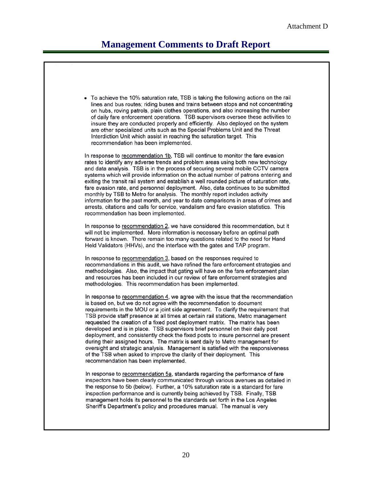# **Management Comments to Draft Report**

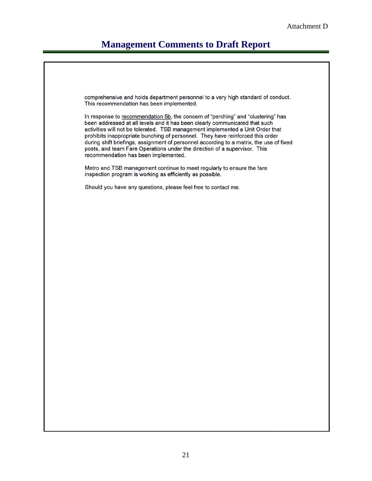# **Management Comments to Draft Report**